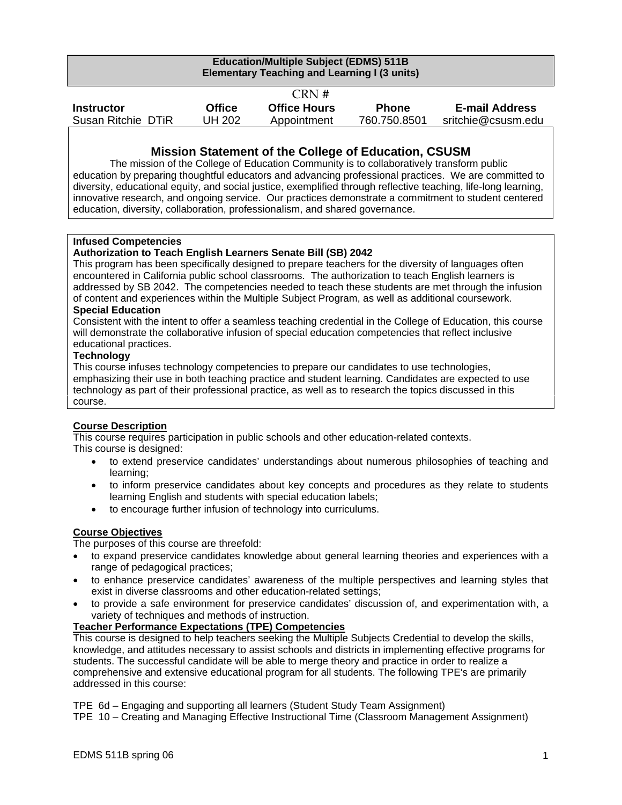| <b>Education/Multiple Subject (EDMS) 511B</b><br><b>Elementary Teaching and Learning I (3 units)</b> |               |                     |              |                       |
|------------------------------------------------------------------------------------------------------|---------------|---------------------|--------------|-----------------------|
|                                                                                                      |               | CRN #               |              |                       |
| <b>Instructor</b>                                                                                    | <b>Office</b> | <b>Office Hours</b> | <b>Phone</b> | <b>E-mail Address</b> |
| Susan Ritchie DTiR                                                                                   | <b>UH 202</b> | Appointment         | 760.750.8501 | sritchie@csusm.edu    |

## **Mission Statement of the College of Education, CSUSM**

The mission of the College of Education Community is to collaboratively transform public education by preparing thoughtful educators and advancing professional practices. We are committed to diversity, educational equity, and social justice, exemplified through reflective teaching, life-long learning, innovative research, and ongoing service. Our practices demonstrate a commitment to student centered education, diversity, collaboration, professionalism, and shared governance.

#### **Infused Competencies**

#### **Authorization to Teach English Learners Senate Bill (SB) 2042**

This program has been specifically designed to prepare teachers for the diversity of languages often encountered in California public school classrooms. The authorization to teach English learners is addressed by SB 2042. The competencies needed to teach these students are met through the infusion of content and experiences within the Multiple Subject Program, as well as additional coursework.

#### **Special Education**

Consistent with the intent to offer a seamless teaching credential in the College of Education, this course will demonstrate the collaborative infusion of special education competencies that reflect inclusive educational practices.

#### **Technology**

This course infuses technology competencies to prepare our candidates to use technologies, emphasizing their use in both teaching practice and student learning. Candidates are expected to use technology as part of their professional practice, as well as to research the topics discussed in this course.

#### **Course Description**

This course requires participation in public schools and other education-related contexts. This course is designed:

- to extend preservice candidates' understandings about numerous philosophies of teaching and learning;
- to inform preservice candidates about key concepts and procedures as they relate to students learning English and students with special education labels;
- to encourage further infusion of technology into curriculums.

#### **Course Objectives**

The purposes of this course are threefold:

- to expand preservice candidates knowledge about general learning theories and experiences with a range of pedagogical practices;
- to enhance preservice candidates' awareness of the multiple perspectives and learning styles that exist in diverse classrooms and other education-related settings;
- to provide a safe environment for preservice candidates' discussion of, and experimentation with, a variety of techniques and methods of instruction.

#### **Teacher Performance Expectations (TPE) Competencies**

This course is designed to help teachers seeking the Multiple Subjects Credential to develop the skills, knowledge, and attitudes necessary to assist schools and districts in implementing effective programs for students. The successful candidate will be able to merge theory and practice in order to realize a comprehensive and extensive educational program for all students. The following TPE's are primarily addressed in this course:

TPE 6d – Engaging and supporting all learners (Student Study Team Assignment)

TPE 10 – Creating and Managing Effective Instructional Time (Classroom Management Assignment)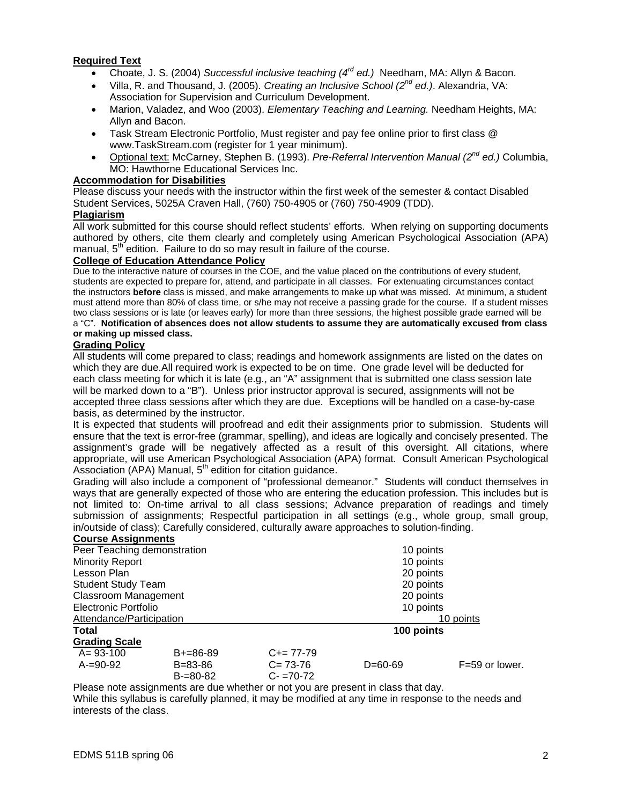#### **Required Text**

- Choate, J. S. (2004) *Successful inclusive teaching (4rd ed.)* Needham, MA: Allyn & Bacon.
- Villa, R. and Thousand, J. (2005). *Creating an Inclusive School (2nd ed.)*. Alexandria, VA: Association for Supervision and Curriculum Development.
- Marion, Valadez, and Woo (2003). *Elementary Teaching and Learning.* Needham Heights, MA: Allyn and Bacon.
- Task Stream Electronic Portfolio, Must register and pay fee online prior to first class @ www.TaskStream.com (register for 1 year minimum).
- Optional text: McCarney, Stephen B. (1993). *Pre-Referral Intervention Manual (2nd ed.)* Columbia, MO: Hawthorne Educational Services Inc.

#### **Accommodation for Disabilities**

Please discuss your needs with the instructor within the first week of the semester & contact Disabled Student Services, 5025A Craven Hall, (760) 750-4905 or (760) 750-4909 (TDD).

#### **Plagiarism**

All work submitted for this course should reflect students' efforts. When relying on supporting documents authored by others, cite them clearly and completely using American Psychological Association (APA) manual, 5<sup>th</sup> edition. Failure to do so may result in failure of the course.

#### **College of Education Attendance Policy**

Due to the interactive nature of courses in the COE, and the value placed on the contributions of every student, students are expected to prepare for, attend, and participate in all classes. For extenuating circumstances contact the instructors **before** class is missed, and make arrangements to make up what was missed. At minimum, a student must attend more than 80% of class time, or s/he may not receive a passing grade for the course. If a student misses two class sessions or is late (or leaves early) for more than three sessions, the highest possible grade earned will be a "C". **Notification of absences does not allow students to assume they are automatically excused from class** 

#### **or making up missed class.**

#### **Grading Policy**

All students will come prepared to class; readings and homework assignments are listed on the dates on which they are due.All required work is expected to be on time. One grade level will be deducted for each class meeting for which it is late (e.g., an "A" assignment that is submitted one class session late will be marked down to a "B"). Unless prior instructor approval is secured, assignments will not be accepted three class sessions after which they are due. Exceptions will be handled on a case-by-case basis, as determined by the instructor.

It is expected that students will proofread and edit their assignments prior to submission. Students will ensure that the text is error-free (grammar, spelling), and ideas are logically and concisely presented. The assignment's grade will be negatively affected as a result of this oversight. All citations, where appropriate, will use American Psychological Association (APA) format. Consult American Psychological Association (APA) Manual,  $5<sup>th</sup>$  edition for citation guidance.

Grading will also include a component of "professional demeanor." Students will conduct themselves in ways that are generally expected of those who are entering the education profession. This includes but is not limited to: On-time arrival to all class sessions; Advance preparation of readings and timely submission of assignments; Respectful participation in all settings (e.g., whole group, small group, in/outside of class); Carefully considered, culturally aware approaches to solution-finding. **Course Assignments**

| <b>COULDE ASSIGNMENTS</b>   |               |               |               |                    |  |
|-----------------------------|---------------|---------------|---------------|--------------------|--|
| Peer Teaching demonstration |               | 10 points     |               |                    |  |
| <b>Minority Report</b>      |               |               | 10 points     |                    |  |
| Lesson Plan                 |               |               | 20 points     |                    |  |
| <b>Student Study Team</b>   |               |               | 20 points     |                    |  |
| <b>Classroom Management</b> |               |               | 20 points     |                    |  |
| Electronic Portfolio        |               | 10 points     |               |                    |  |
| Attendance/Participation    |               | 10 points     |               |                    |  |
| <b>Total</b>                |               |               | 100 points    |                    |  |
| <b>Grading Scale</b>        |               |               |               |                    |  |
| $A = 93 - 100$              | $B+=86-89$    | $C+= 77-79$   |               |                    |  |
| A-=90-92                    | B=83-86       | $C = 73-76$   | $D = 60 - 69$ | $F = 59$ or lower. |  |
|                             | $B = 80 - 82$ | $C - 70 - 72$ |               |                    |  |

Please note assignments are due whether or not you are present in class that day. While this syllabus is carefully planned, it may be modified at any time in response to the needs and interests of the class.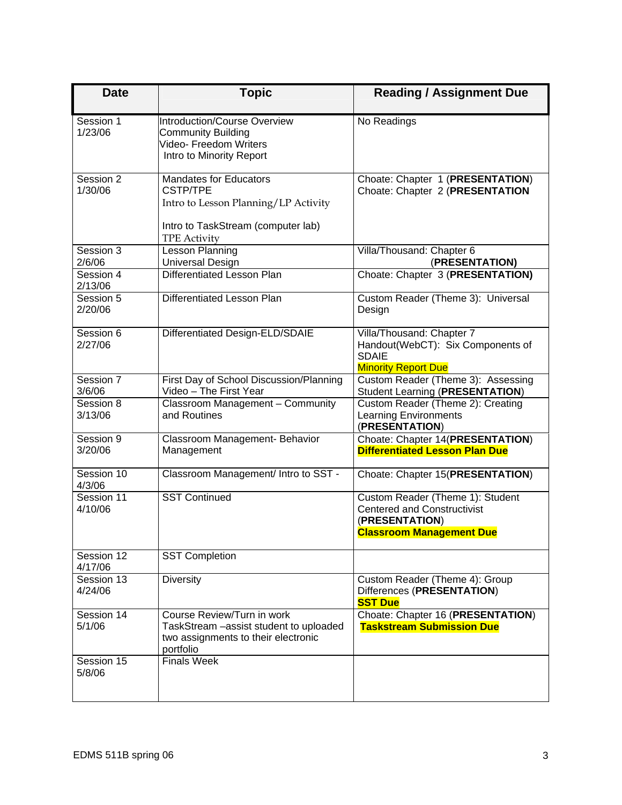| <b>Date</b>           | <b>Topic</b>                                                                                                                                          | <b>Reading / Assignment Due</b>                                                                                             |
|-----------------------|-------------------------------------------------------------------------------------------------------------------------------------------------------|-----------------------------------------------------------------------------------------------------------------------------|
| Session 1<br>1/23/06  | <b>Introduction/Course Overview</b><br><b>Community Building</b><br>Video- Freedom Writers<br>Intro to Minority Report                                | No Readings                                                                                                                 |
| Session 2<br>1/30/06  | <b>Mandates for Educators</b><br><b>CSTP/TPE</b><br>Intro to Lesson Planning/LP Activity<br>Intro to TaskStream (computer lab)<br><b>TPE Activity</b> | Choate: Chapter 1 (PRESENTATION)<br>Choate: Chapter 2 (PRESENTATION                                                         |
| Session 3<br>2/6/06   | Lesson Planning<br>Universal Design                                                                                                                   | Villa/Thousand: Chapter 6<br>(PRESENTATION)                                                                                 |
| Session 4<br>2/13/06  | Differentiated Lesson Plan                                                                                                                            | Choate: Chapter 3 (PRESENTATION)                                                                                            |
| Session 5<br>2/20/06  | Differentiated Lesson Plan                                                                                                                            | Custom Reader (Theme 3): Universal<br>Design                                                                                |
| Session 6<br>2/27/06  | Differentiated Design-ELD/SDAIE                                                                                                                       | Villa/Thousand: Chapter 7<br>Handout(WebCT): Six Components of<br><b>SDAIE</b><br><b>Minority Report Due</b>                |
| Session 7<br>3/6/06   | First Day of School Discussion/Planning<br>Video - The First Year                                                                                     | Custom Reader (Theme 3): Assessing<br><b>Student Learning (PRESENTATION)</b>                                                |
| Session 8<br>3/13/06  | Classroom Management - Community<br>and Routines                                                                                                      | Custom Reader (Theme 2): Creating<br><b>Learning Environments</b><br>(PRESENTATION)                                         |
| Session 9<br>3/20/06  | Classroom Management- Behavior<br>Management                                                                                                          | Choate: Chapter 14(PRESENTATION)<br><b>Differentiated Lesson Plan Due</b>                                                   |
| Session 10<br>4/3/06  | Classroom Management/ Intro to SST -                                                                                                                  | Choate: Chapter 15(PRESENTATION)                                                                                            |
| Session 11<br>4/10/06 | <b>SST Continued</b>                                                                                                                                  | Custom Reader (Theme 1): Student<br><b>Centered and Constructivist</b><br>(PRESENTATION)<br><b>Classroom Management Due</b> |
| Session 12<br>4/17/06 | <b>SST Completion</b>                                                                                                                                 |                                                                                                                             |
| Session 13<br>4/24/06 | <b>Diversity</b>                                                                                                                                      | Custom Reader (Theme 4): Group<br>Differences (PRESENTATION)<br><b>SST Due</b>                                              |
| Session 14<br>5/1/06  | Course Review/Turn in work<br>TaskStream - assist student to uploaded<br>two assignments to their electronic<br>portfolio                             | Choate: Chapter 16 (PRESENTATION)<br><b>Taskstream Submission Due</b>                                                       |
| Session 15<br>5/8/06  | <b>Finals Week</b>                                                                                                                                    |                                                                                                                             |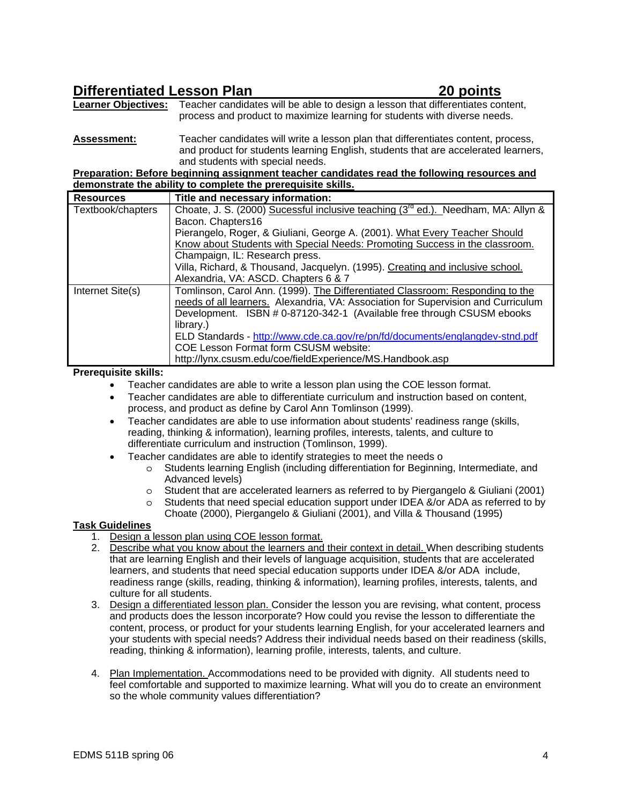# **Differentiated Lesson Plan 20 points**

**Learner Objectives:** Teacher candidates will be able to design a lesson that differentiates content, process and product to maximize learning for students with diverse needs.

**Assessment:** Teacher candidates will write a lesson plan that differentiates content, process, and product for students learning English, students that are accelerated learners, and students with special needs.

**Preparation: Before beginning assignment teacher candidates read the following resources and demonstrate the ability to complete the prerequisite skills.**

| <b>Resources</b>  | Title and necessary information:                                                              |
|-------------------|-----------------------------------------------------------------------------------------------|
| Textbook/chapters | Choate, J. S. (2000) Sucessful inclusive teaching (3 <sup>rd</sup> ed.). Needham, MA: Allyn & |
|                   | Bacon. Chapters16                                                                             |
|                   | Pierangelo, Roger, & Giuliani, George A. (2001). What Every Teacher Should                    |
|                   | Know about Students with Special Needs: Promoting Success in the classroom.                   |
|                   | Champaign, IL: Research press.                                                                |
|                   | Villa, Richard, & Thousand, Jacquelyn. (1995). Creating and inclusive school.                 |
|                   | Alexandria, VA: ASCD. Chapters 6 & 7                                                          |
| Internet Site(s)  | Tomlinson, Carol Ann. (1999). The Differentiated Classroom: Responding to the                 |
|                   | needs of all learners. Alexandria, VA: Association for Supervision and Curriculum             |
|                   | Development. ISBN # 0-87120-342-1 (Available free through CSUSM ebooks                        |
|                   | library.)                                                                                     |
|                   | ELD Standards - http://www.cde.ca.gov/re/pn/fd/documents/englangdev-stnd.pdf                  |
|                   | <b>COE Lesson Format form CSUSM website:</b>                                                  |
|                   | http://lynx.csusm.edu/coe/fieldExperience/MS.Handbook.asp                                     |

#### **Prerequisite skills:**

- Teacher candidates are able to write a lesson plan using the COE lesson format.
- Teacher candidates are able to differentiate curriculum and instruction based on content, process, and product as define by Carol Ann Tomlinson (1999).
- Teacher candidates are able to use information about students' readiness range (skills, reading, thinking & information), learning profiles, interests, talents, and culture to differentiate curriculum and instruction (Tomlinson, 1999).
- Teacher candidates are able to identify strategies to meet the needs o
	- o Students learning English (including differentiation for Beginning, Intermediate, and Advanced levels)
	- o Student that are accelerated learners as referred to by Piergangelo & Giuliani (2001)
	- o Students that need special education support under IDEA &/or ADA as referred to by Choate (2000), Piergangelo & Giuliani (2001), and Villa & Thousand (1995)

#### **Task Guidelines**

- 1. Design a lesson plan using COE lesson format.
- 2. Describe what you know about the learners and their context in detail. When describing students that are learning English and their levels of language acquisition, students that are accelerated learners, and students that need special education supports under IDEA &/or ADA include, readiness range (skills, reading, thinking & information), learning profiles, interests, talents, and culture for all students.
- 3. Design a differentiated lesson plan. Consider the lesson you are revising, what content, process and products does the lesson incorporate? How could you revise the lesson to differentiate the content, process, or product for your students learning English, for your accelerated learners and your students with special needs? Address their individual needs based on their readiness (skills, reading, thinking & information), learning profile, interests, talents, and culture.
- 4. Plan Implementation. Accommodations need to be provided with dignity. All students need to feel comfortable and supported to maximize learning. What will you do to create an environment so the whole community values differentiation?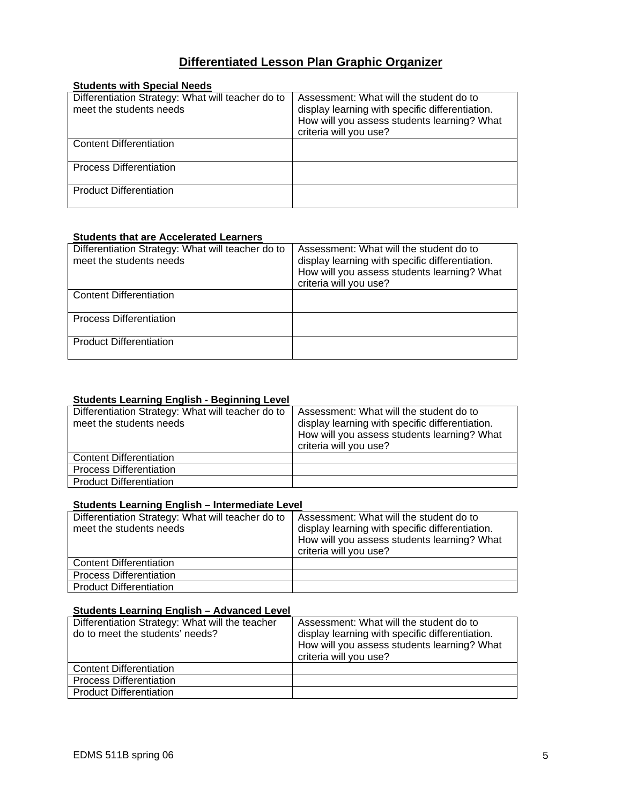# **Differentiated Lesson Plan Graphic Organizer**

| <b>Students with Special Needs</b>                                           |                                                                                                                                                                     |
|------------------------------------------------------------------------------|---------------------------------------------------------------------------------------------------------------------------------------------------------------------|
| Differentiation Strategy: What will teacher do to<br>meet the students needs | Assessment: What will the student do to<br>display learning with specific differentiation.<br>How will you assess students learning? What<br>criteria will you use? |
| <b>Content Differentiation</b>                                               |                                                                                                                                                                     |
| <b>Process Differentiation</b>                                               |                                                                                                                                                                     |
| <b>Product Differentiation</b>                                               |                                                                                                                                                                     |

#### **Students that are Accelerated Learners**

| Differentiation Strategy: What will teacher do to<br>meet the students needs | Assessment: What will the student do to<br>display learning with specific differentiation.<br>How will you assess students learning? What<br>criteria will you use? |
|------------------------------------------------------------------------------|---------------------------------------------------------------------------------------------------------------------------------------------------------------------|
| <b>Content Differentiation</b>                                               |                                                                                                                                                                     |
| <b>Process Differentiation</b>                                               |                                                                                                                                                                     |
| <b>Product Differentiation</b>                                               |                                                                                                                                                                     |

#### **Students Learning English - Beginning Level**

| Differentiation Strategy: What will teacher do to<br>meet the students needs | Assessment: What will the student do to<br>display learning with specific differentiation.<br>How will you assess students learning? What<br>criteria will you use? |
|------------------------------------------------------------------------------|---------------------------------------------------------------------------------------------------------------------------------------------------------------------|
| <b>Content Differentiation</b>                                               |                                                                                                                                                                     |
| <b>Process Differentiation</b>                                               |                                                                                                                                                                     |
| <b>Product Differentiation</b>                                               |                                                                                                                                                                     |

### **Students Learning English – Intermediate Level**

| Differentiation Strategy: What will teacher do to<br>meet the students needs | Assessment: What will the student do to<br>display learning with specific differentiation.<br>How will you assess students learning? What<br>criteria will you use? |
|------------------------------------------------------------------------------|---------------------------------------------------------------------------------------------------------------------------------------------------------------------|
| <b>Content Differentiation</b>                                               |                                                                                                                                                                     |
| <b>Process Differentiation</b>                                               |                                                                                                                                                                     |
| <b>Product Differentiation</b>                                               |                                                                                                                                                                     |

#### **Students Learning English – Advanced Level**

| Differentiation Strategy: What will the teacher<br>do to meet the students' needs? | Assessment: What will the student do to<br>display learning with specific differentiation.<br>How will you assess students learning? What<br>criteria will you use? |
|------------------------------------------------------------------------------------|---------------------------------------------------------------------------------------------------------------------------------------------------------------------|
| <b>Content Differentiation</b>                                                     |                                                                                                                                                                     |
| <b>Process Differentiation</b>                                                     |                                                                                                                                                                     |
| <b>Product Differentiation</b>                                                     |                                                                                                                                                                     |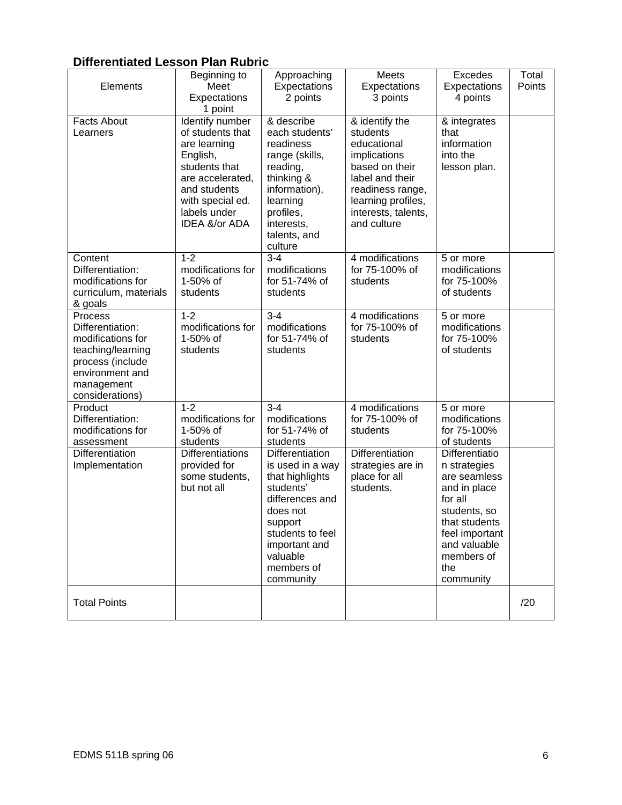# **Differentiated Lesson Plan Rubric**

| Elements                                                                                                                                      | Beginning to<br>Meet<br>Expectations<br>1 point                                                                                                                           | Approaching<br>Expectations<br>2 points                                                                                                                                                   | Meets<br>Expectations<br>3 points                                                                                                                                              | Excedes<br>Expectations<br>4 points                                                                                                                                            | Total<br>Points |
|-----------------------------------------------------------------------------------------------------------------------------------------------|---------------------------------------------------------------------------------------------------------------------------------------------------------------------------|-------------------------------------------------------------------------------------------------------------------------------------------------------------------------------------------|--------------------------------------------------------------------------------------------------------------------------------------------------------------------------------|--------------------------------------------------------------------------------------------------------------------------------------------------------------------------------|-----------------|
| <b>Facts About</b><br>Learners                                                                                                                | Identify number<br>of students that<br>are learning<br>English,<br>students that<br>are accelerated,<br>and students<br>with special ed.<br>labels under<br>IDEA &/or ADA | & describe<br>each students'<br>readiness<br>range (skills,<br>reading,<br>thinking &<br>information),<br>learning<br>profiles,<br>interests,<br>talents, and<br>culture                  | & identify the<br>students<br>educational<br>implications<br>based on their<br>label and their<br>readiness range,<br>learning profiles,<br>interests, talents,<br>and culture | & integrates<br>that<br>information<br>into the<br>lesson plan.                                                                                                                |                 |
| Content<br>Differentiation:<br>modifications for<br>curriculum, materials<br>& goals                                                          | $1 - 2$<br>modifications for<br>1-50% of<br>students                                                                                                                      | $3 - 4$<br>modifications<br>for 51-74% of<br>students                                                                                                                                     | 4 modifications<br>for 75-100% of<br>students                                                                                                                                  | 5 or more<br>modifications<br>for 75-100%<br>of students                                                                                                                       |                 |
| Process<br>Differentiation:<br>modifications for<br>teaching/learning<br>process (include<br>environment and<br>management<br>considerations) | $1 - 2$<br>modifications for<br>1-50% of<br>students                                                                                                                      | $3 - 4$<br>modifications<br>for 51-74% of<br>students                                                                                                                                     | 4 modifications<br>for 75-100% of<br>students                                                                                                                                  | 5 or more<br>modifications<br>for 75-100%<br>of students                                                                                                                       |                 |
| Product<br>Differentiation:<br>modifications for<br>assessment                                                                                | $1 - 2$<br>modifications for<br>1-50% of<br>students                                                                                                                      | $3 - 4$<br>modifications<br>for 51-74% of<br>students                                                                                                                                     | 4 modifications<br>for 75-100% of<br>students                                                                                                                                  | 5 or more<br>modifications<br>for 75-100%<br>of students                                                                                                                       |                 |
| Differentiation<br>Implementation                                                                                                             | <b>Differentiations</b><br>provided for<br>some students,<br>but not all                                                                                                  | Differentiation<br>is used in a way<br>that highlights<br>students'<br>differences and<br>does not<br>support<br>students to feel<br>important and<br>valuable<br>members of<br>community | Differentiation<br>strategies are in<br>place for all<br>students.                                                                                                             | Differentiatio<br>n strategies<br>are seamless<br>and in place<br>for all<br>students, so<br>that students<br>feel important<br>and valuable<br>members of<br>the<br>community |                 |
| <b>Total Points</b>                                                                                                                           |                                                                                                                                                                           |                                                                                                                                                                                           |                                                                                                                                                                                |                                                                                                                                                                                | /20             |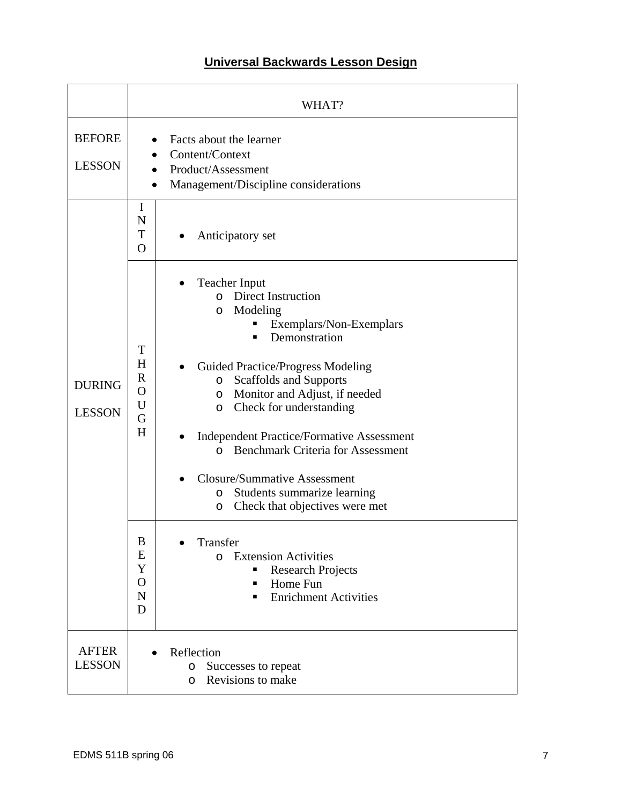# **Universal Backwards Lesson Design**

|                                | WHAT?                                                                                                                                                                                                                                                                                                                                                                                                                                                                                                                                                                                                                                                                                                                                                                                                     |
|--------------------------------|-----------------------------------------------------------------------------------------------------------------------------------------------------------------------------------------------------------------------------------------------------------------------------------------------------------------------------------------------------------------------------------------------------------------------------------------------------------------------------------------------------------------------------------------------------------------------------------------------------------------------------------------------------------------------------------------------------------------------------------------------------------------------------------------------------------|
| <b>BEFORE</b><br><b>LESSON</b> | Facts about the learner<br>Content/Context<br>Product/Assessment<br>Management/Discipline considerations                                                                                                                                                                                                                                                                                                                                                                                                                                                                                                                                                                                                                                                                                                  |
|                                | I<br>N<br>T<br>Anticipatory set<br>$\bullet$<br>$\overline{O}$                                                                                                                                                                                                                                                                                                                                                                                                                                                                                                                                                                                                                                                                                                                                            |
| <b>DURING</b><br><b>LESSON</b> | <b>Teacher Input</b><br><b>Direct Instruction</b><br>$\Omega$<br>Modeling<br>O<br>Exemplars/Non-Exemplars<br>Demonstration<br>▪<br>T<br>H<br><b>Guided Practice/Progress Modeling</b><br>$\mathbb{R}$<br><b>Scaffolds and Supports</b><br>$\circ$<br>$\mathbf O$<br>Monitor and Adjust, if needed<br>$\circ$<br>U<br>Check for understanding<br>O<br>G<br>H<br><b>Independent Practice/Formative Assessment</b><br><b>Benchmark Criteria for Assessment</b><br>$\Omega$<br><b>Closure/Summative Assessment</b><br>Students summarize learning<br>$\circ$<br>Check that objectives were met<br>O<br>$\boldsymbol{B}$<br>Transfer<br>E<br><b>Extension Activities</b><br>$\Omega$<br>Y<br><b>Research Projects</b><br>$\mathbf O$<br>Home Fun<br>п<br>$\mathbf N$<br><b>Enrichment Activities</b><br>▪<br>D |
| <b>AFTER</b><br><b>LESSON</b>  | Reflection<br>Successes to repeat<br>O<br>Revisions to make<br>O                                                                                                                                                                                                                                                                                                                                                                                                                                                                                                                                                                                                                                                                                                                                          |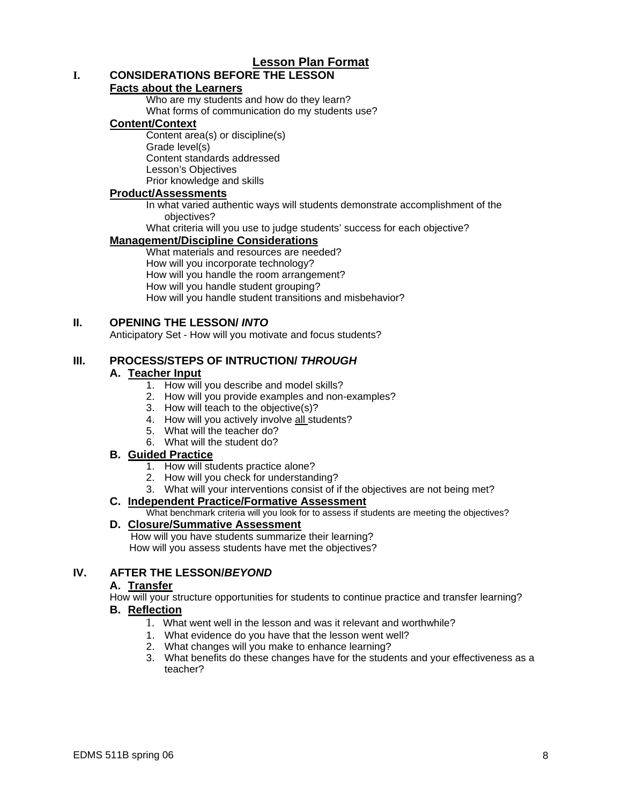# **Lesson Plan Format**

# **I. CONSIDERATIONS BEFORE THE LESSON**

#### **Facts about the Learners**

Who are my students and how do they learn?

What forms of communication do my students use?

#### **Content/Context**

Content area(s) or discipline(s) Grade level(s) Content standards addressed Lesson's Objectives Prior knowledge and skills

#### **Product/Assessments**

In what varied authentic ways will students demonstrate accomplishment of the objectives?

What criteria will you use to judge students' success for each objective?

#### **Management/Discipline Considerations**

What materials and resources are needed? How will you incorporate technology? How will you handle the room arrangement? How will you handle student grouping? How will you handle student transitions and misbehavior?

#### **II. OPENING THE LESSON/** *INTO*

Anticipatory Set - How will you motivate and focus students?

#### **III. PROCESS/STEPS OF INTRUCTION/** *THROUGH*

#### **A. Teacher Input**

- 1. How will you describe and model skills?
- 2. How will you provide examples and non-examples?
- 3. How will teach to the objective(s)?
- 4. How will you actively involve all students?
- 5. What will the teacher do?
- 6. What will the student do?

#### **B. Guided Practice**

- 1. How will students practice alone?
- 2. How will you check for understanding?
- 3. What will your interventions consist of if the objectives are not being met?

#### **C. Independent Practice/Formative Assessment**

What benchmark criteria will you look for to assess if students are meeting the objectives?

#### **D. Closure/Summative Assessment**

 How will you have students summarize their learning? How will you assess students have met the objectives?

#### **IV. AFTER THE LESSON/***BEYOND*

#### **A. Transfer**

How will your structure opportunities for students to continue practice and transfer learning?

# **B. Reflection**

- 1. What went well in the lesson and was it relevant and worthwhile?
- 1. What evidence do you have that the lesson went well?
- 2. What changes will you make to enhance learning?
- 3. What benefits do these changes have for the students and your effectiveness as a teacher?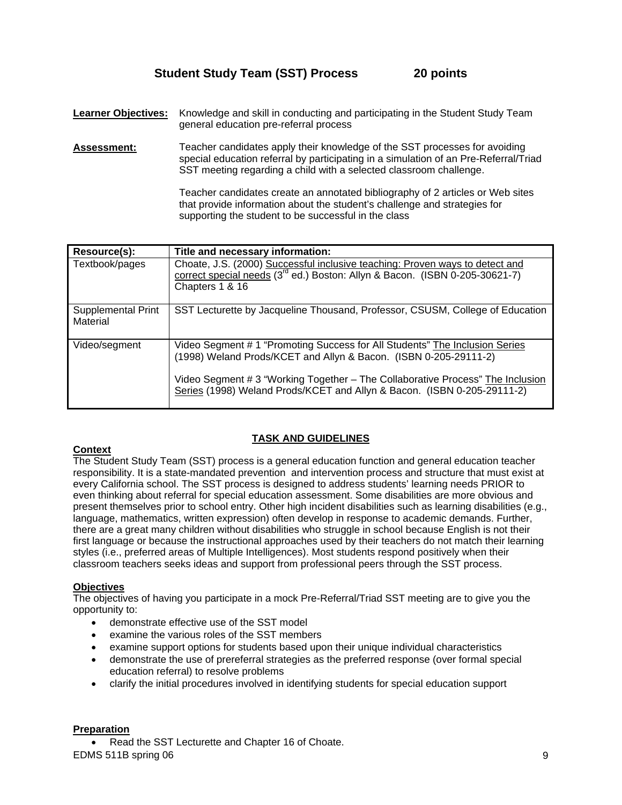**Learner Objectives:** Knowledge and skill in conducting and participating in the Student Study Team general education pre-referral process

**Assessment:** Teacher candidates apply their knowledge of the SST processes for avoiding special education referral by participating in a simulation of an Pre-Referral/Triad SST meeting regarding a child with a selected classroom challenge.

> Teacher candidates create an annotated bibliography of 2 articles or Web sites that provide information about the student's challenge and strategies for supporting the student to be successful in the class

| Resource(s):                   | Title and necessary information:                                                                                                                                                                                                                                                                             |
|--------------------------------|--------------------------------------------------------------------------------------------------------------------------------------------------------------------------------------------------------------------------------------------------------------------------------------------------------------|
| Textbook/pages                 | Choate, J.S. (2000) Successful inclusive teaching: Proven ways to detect and<br>correct special needs (3 <sup>rd</sup> ed.) Boston: Allyn & Bacon. (ISBN 0-205-30621-7)<br>Chapters 1 & 16                                                                                                                   |
| Supplemental Print<br>Material | SST Lecturette by Jacqueline Thousand, Professor, CSUSM, College of Education                                                                                                                                                                                                                                |
| Video/segment                  | Video Segment # 1 "Promoting Success for All Students" The Inclusion Series<br>(1998) Weland Prods/KCET and Allyn & Bacon. (ISBN 0-205-29111-2)<br>Video Segment # 3 "Working Together - The Collaborative Process" The Inclusion<br>Series (1998) Weland Prods/KCET and Allyn & Bacon. (ISBN 0-205-29111-2) |

#### **TASK AND GUIDELINES**

#### **Context**

The Student Study Team (SST) process is a general education function and general education teacher responsibility. It is a state-mandated prevention and intervention process and structure that must exist at every California school. The SST process is designed to address students' learning needs PRIOR to even thinking about referral for special education assessment. Some disabilities are more obvious and present themselves prior to school entry. Other high incident disabilities such as learning disabilities (e.g., language, mathematics, written expression) often develop in response to academic demands. Further, there are a great many children without disabilities who struggle in school because English is not their first language or because the instructional approaches used by their teachers do not match their learning styles (i.e., preferred areas of Multiple Intelligences). Most students respond positively when their classroom teachers seeks ideas and support from professional peers through the SST process.

#### **Objectives**

The objectives of having you participate in a mock Pre-Referral/Triad SST meeting are to give you the opportunity to:

- demonstrate effective use of the SST model
- examine the various roles of the SST members
- examine support options for students based upon their unique individual characteristics
- demonstrate the use of prereferral strategies as the preferred response (over formal special education referral) to resolve problems
- clarify the initial procedures involved in identifying students for special education support

# **Preparation**

EDMS 511B spring 06 9 Read the SST Lecturette and Chapter 16 of Choate.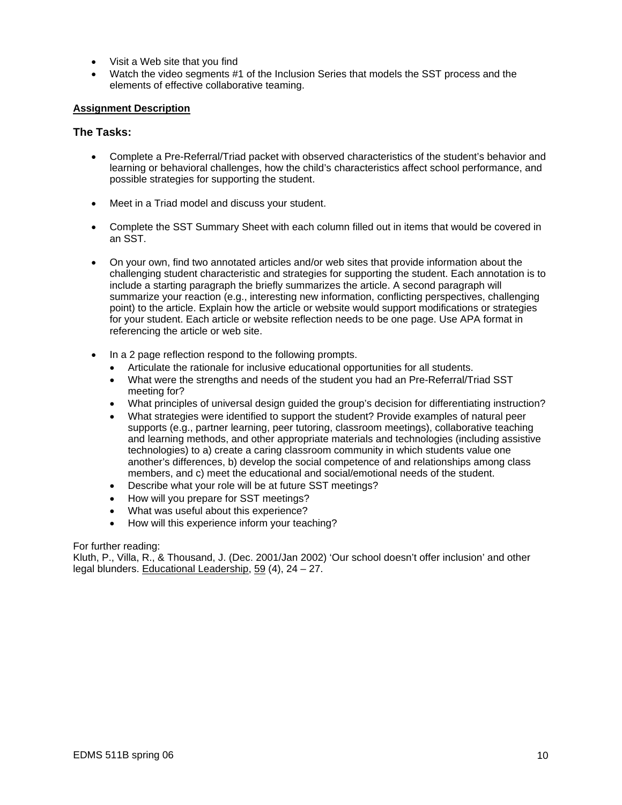- Visit a Web site that you find
- Watch the video segments #1 of the Inclusion Series that models the SST process and the elements of effective collaborative teaming.

#### **Assignment Description**

#### **The Tasks:**

- Complete a Pre-Referral/Triad packet with observed characteristics of the student's behavior and learning or behavioral challenges, how the child's characteristics affect school performance, and possible strategies for supporting the student.
- Meet in a Triad model and discuss your student.
- Complete the SST Summary Sheet with each column filled out in items that would be covered in an SST.
- On your own, find two annotated articles and/or web sites that provide information about the challenging student characteristic and strategies for supporting the student. Each annotation is to include a starting paragraph the briefly summarizes the article. A second paragraph will summarize your reaction (e.g., interesting new information, conflicting perspectives, challenging point) to the article. Explain how the article or website would support modifications or strategies for your student. Each article or website reflection needs to be one page. Use APA format in referencing the article or web site.
- In a 2 page reflection respond to the following prompts.
	- Articulate the rationale for inclusive educational opportunities for all students.
	- What were the strengths and needs of the student you had an Pre-Referral/Triad SST meeting for?
	- What principles of universal design guided the group's decision for differentiating instruction?
	- What strategies were identified to support the student? Provide examples of natural peer supports (e.g., partner learning, peer tutoring, classroom meetings), collaborative teaching and learning methods, and other appropriate materials and technologies (including assistive technologies) to a) create a caring classroom community in which students value one another's differences, b) develop the social competence of and relationships among class members, and c) meet the educational and social/emotional needs of the student.
	- Describe what your role will be at future SST meetings?
	- How will you prepare for SST meetings?
	- What was useful about this experience?
	- How will this experience inform your teaching?

#### For further reading:

Kluth, P., Villa, R., & Thousand, J. (Dec. 2001/Jan 2002) 'Our school doesn't offer inclusion' and other legal blunders. Educational Leadership, 59 (4), 24 – 27.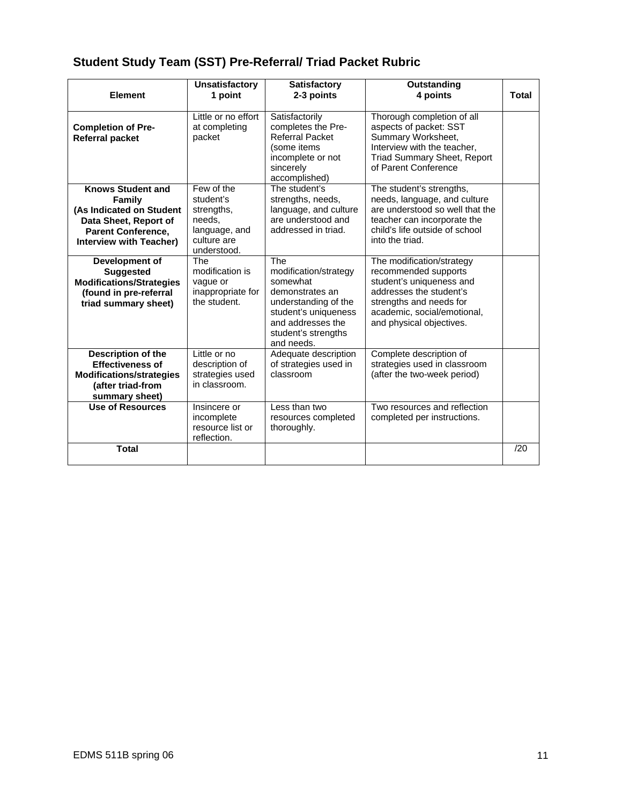# **Student Study Team (SST) Pre-Referral/ Triad Packet Rubric**

| <b>Element</b>                                                                                                                                                | <b>Unsatisfactory</b><br>1 point                                                               | <b>Satisfactory</b><br>2-3 points                                                                                                                                     | Outstanding<br>4 points                                                                                                                                                                        | <b>Total</b> |
|---------------------------------------------------------------------------------------------------------------------------------------------------------------|------------------------------------------------------------------------------------------------|-----------------------------------------------------------------------------------------------------------------------------------------------------------------------|------------------------------------------------------------------------------------------------------------------------------------------------------------------------------------------------|--------------|
| <b>Completion of Pre-</b><br><b>Referral packet</b>                                                                                                           | Little or no effort<br>at completing<br>packet                                                 | Satisfactorily<br>completes the Pre-<br><b>Referral Packet</b><br>(some items<br>incomplete or not<br>sincerely<br>accomplished)                                      | Thorough completion of all<br>aspects of packet: SST<br>Summary Worksheet,<br>Interview with the teacher.<br><b>Triad Summary Sheet, Report</b><br>of Parent Conference                        |              |
| <b>Knows Student and</b><br><b>Family</b><br>(As Indicated on Student<br>Data Sheet, Report of<br><b>Parent Conference,</b><br><b>Interview with Teacher)</b> | Few of the<br>student's<br>strengths,<br>needs,<br>language, and<br>culture are<br>understood. | The student's<br>strengths, needs,<br>language, and culture<br>are understood and<br>addressed in triad.                                                              | The student's strengths,<br>needs, language, and culture<br>are understood so well that the<br>teacher can incorporate the<br>child's life outside of school<br>into the triad.                |              |
| Development of<br><b>Suggested</b><br><b>Modifications/Strategies</b><br>(found in pre-referral<br>triad summary sheet)                                       | <b>The</b><br>modification is<br>vague or<br>inappropriate for<br>the student.                 | The<br>modification/strategy<br>somewhat<br>demonstrates an<br>understanding of the<br>student's uniqueness<br>and addresses the<br>student's strengths<br>and needs. | The modification/strategy<br>recommended supports<br>student's uniqueness and<br>addresses the student's<br>strengths and needs for<br>academic, social/emotional,<br>and physical objectives. |              |
| Description of the<br><b>Effectiveness of</b><br><b>Modifications/strategies</b><br>(after triad-from<br>summary sheet)                                       | Little or no<br>description of<br>strategies used<br>in classroom.                             | Adequate description<br>of strategies used in<br>classroom                                                                                                            | Complete description of<br>strategies used in classroom<br>(after the two-week period)                                                                                                         |              |
| <b>Use of Resources</b>                                                                                                                                       | Insincere or<br>incomplete<br>resource list or<br>reflection.                                  | Less than two<br>resources completed<br>thoroughly.                                                                                                                   | Two resources and reflection<br>completed per instructions.                                                                                                                                    |              |
| <b>Total</b>                                                                                                                                                  |                                                                                                |                                                                                                                                                                       |                                                                                                                                                                                                | /20          |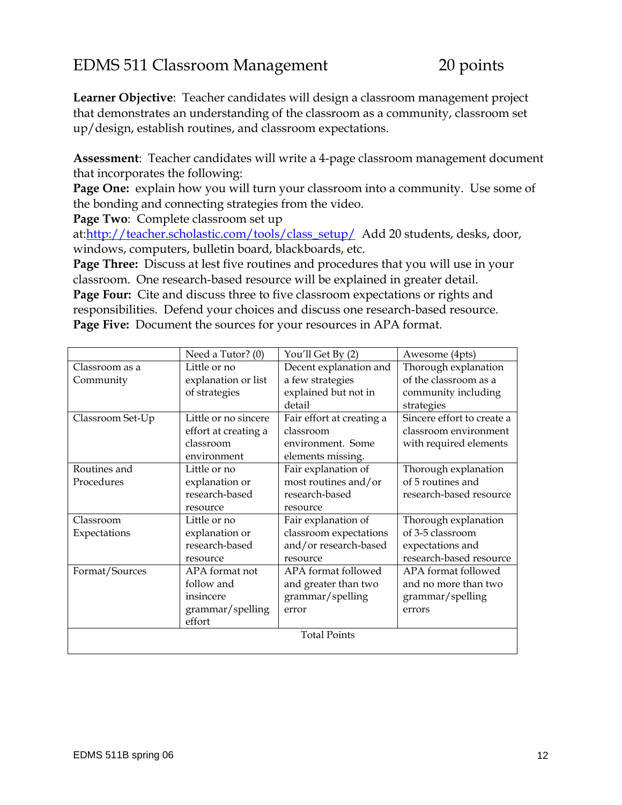# EDMS 511 Classroom Management 20 points

**Learner Objective**: Teacher candidates will design a classroom management project that demonstrates an understanding of the classroom as a community, classroom set up/design, establish routines, and classroom expectations.

**Assessment**: Teacher candidates will write a 4-page classroom management document that incorporates the following:

**Page One:** explain how you will turn your classroom into a community. Use some of the bonding and connecting strategies from the video.

**Page Two**: Complete classroom set up

at:http://teacher.scholastic.com/tools/class\_setup/ Add 20 students, desks, door, windows, computers, bulletin board, blackboards, etc.

**Page Three:** Discuss at lest five routines and procedures that you will use in your classroom. One research-based resource will be explained in greater detail. **Page Four:** Cite and discuss three to five classroom expectations or rights and responsibilities. Defend your choices and discuss one research-based resource.

**Page Five:** Document the sources for your resources in APA format.

|                     | Need a Tutor? (0)    | You'll Get By (2)         | Awesome (4pts)             |  |
|---------------------|----------------------|---------------------------|----------------------------|--|
| Classroom as a      | Little or no         | Decent explanation and    | Thorough explanation       |  |
| Community           | explanation or list  | a few strategies          | of the classroom as a      |  |
|                     | of strategies        | explained but not in      | community including        |  |
|                     |                      | detail                    | strategies                 |  |
| Classroom Set-Up    | Little or no sincere | Fair effort at creating a | Sincere effort to create a |  |
|                     | effort at creating a | classroom                 | classroom environment      |  |
|                     | classroom            | environment. Some         | with required elements     |  |
|                     | environment          | elements missing.         |                            |  |
| Routines and        | Little or no         | Fair explanation of       | Thorough explanation       |  |
| Procedures          | explanation or       | most routines and/or      | of 5 routines and          |  |
|                     | research-based       | research-based            | research-based resource    |  |
|                     | resource             | resource                  |                            |  |
| Classroom           | Little or no         | Fair explanation of       | Thorough explanation       |  |
| Expectations        | explanation or       | classroom expectations    | of 3-5 classroom           |  |
|                     | research-based       | and/or research-based     | expectations and           |  |
|                     | resource             | resource                  | research-based resource    |  |
| Format/Sources      | APA format not       | APA format followed       | APA format followed        |  |
|                     | follow and           | and greater than two      | and no more than two       |  |
|                     | insincere            | grammar/spelling          | grammar/spelling           |  |
|                     | grammar/spelling     | error                     | errors                     |  |
|                     | effort               |                           |                            |  |
| <b>Total Points</b> |                      |                           |                            |  |
|                     |                      |                           |                            |  |